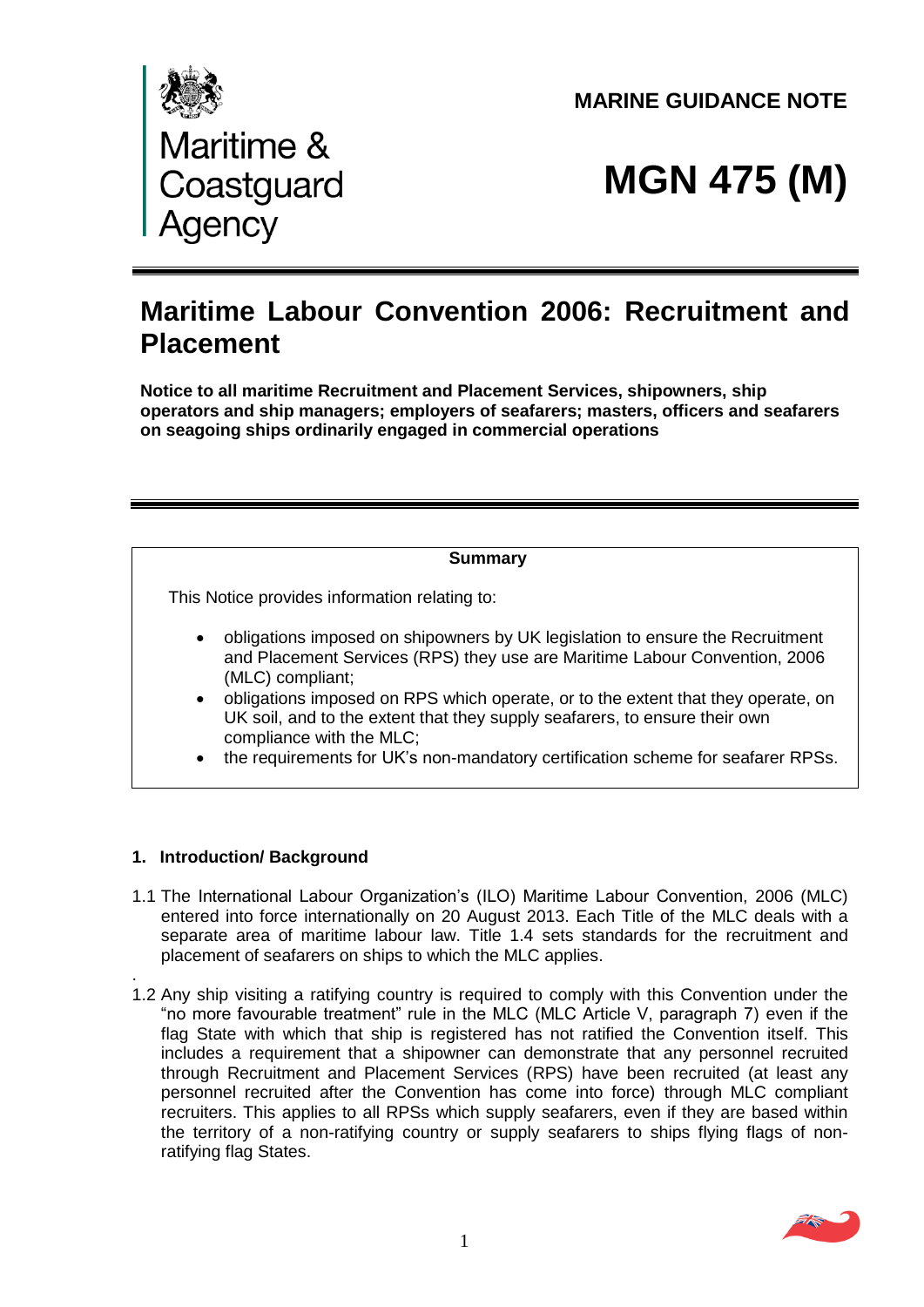



# **MGN 475 (M)**

# **Maritime Labour Convention 2006: Recruitment and Placement**

**Notice to all maritime Recruitment and Placement Services, shipowners, ship operators and ship managers; employers of seafarers; masters, officers and seafarers on seagoing ships ordinarily engaged in commercial operations**

#### **Summary**

This Notice provides information relating to:

- obligations imposed on shipowners by UK legislation to ensure the Recruitment and Placement Services (RPS) they use are Maritime Labour Convention, 2006 (MLC) compliant;
- obligations imposed on RPS which operate, or to the extent that they operate, on UK soil, and to the extent that they supply seafarers, to ensure their own compliance with the MLC;
- the requirements for UK's non-mandatory certification scheme for seafarer RPSs.

#### **1. Introduction/ Background**

- 1.1 The International Labour Organization's (ILO) Maritime Labour Convention, 2006 (MLC) entered into force internationally on 20 August 2013. Each Title of the MLC deals with a separate area of maritime labour law. Title 1.4 sets standards for the recruitment and placement of seafarers on ships to which the MLC applies.
- . 1.2 Any ship visiting a ratifying country is required to comply with this Convention under the "no more favourable treatment" rule in the MLC (MLC Article V, paragraph 7) even if the flag State with which that ship is registered has not ratified the Convention itself. This includes a requirement that a shipowner can demonstrate that any personnel recruited through Recruitment and Placement Services (RPS) have been recruited (at least any personnel recruited after the Convention has come into force) through MLC compliant recruiters. This applies to all RPSs which supply seafarers, even if they are based within the territory of a non-ratifying country or supply seafarers to ships flying flags of nonratifying flag States.

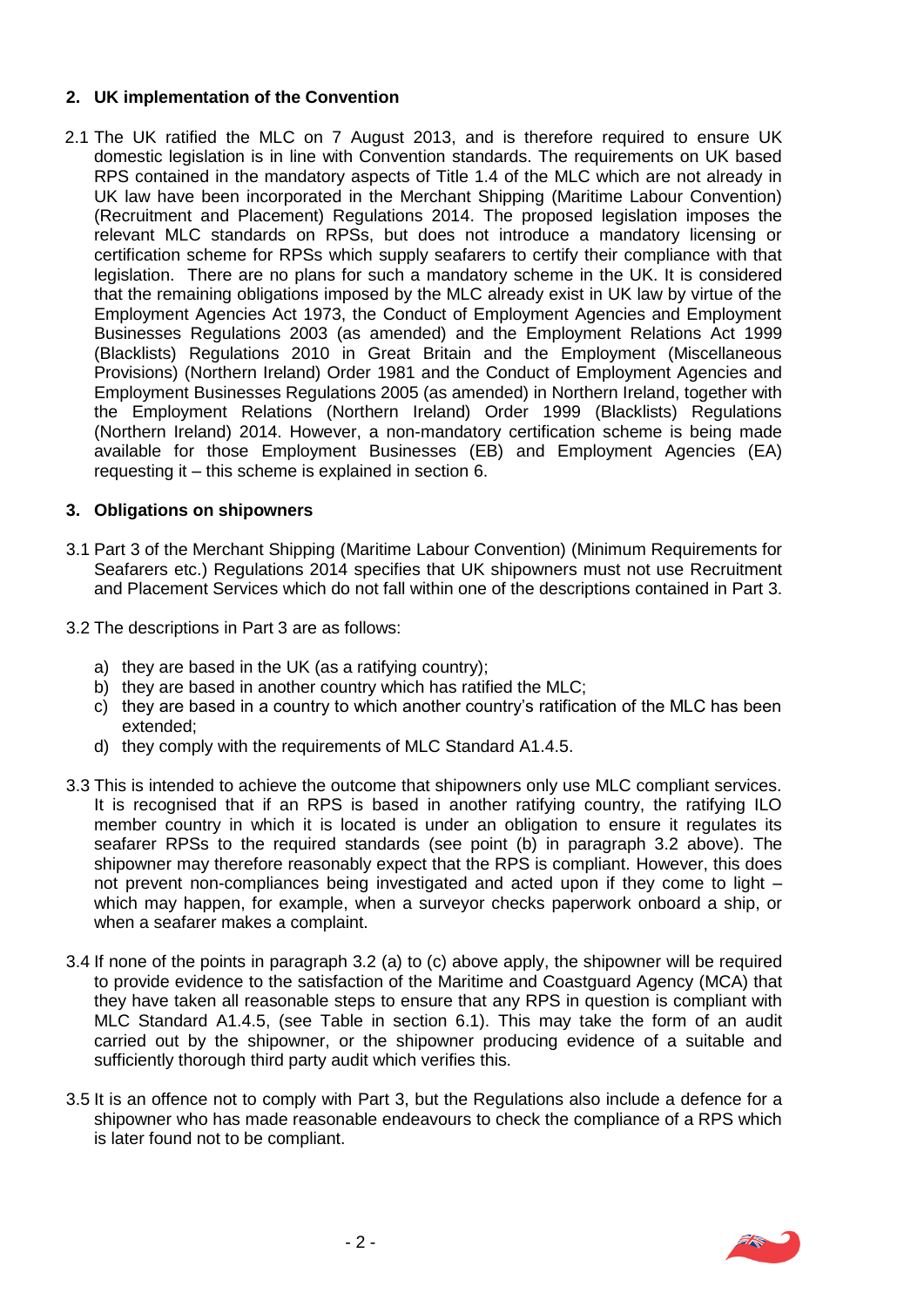# **2. UK implementation of the Convention**

2.1 The UK ratified the MLC on 7 August 2013, and is therefore required to ensure UK domestic legislation is in line with Convention standards. The requirements on UK based RPS contained in the mandatory aspects of Title 1.4 of the MLC which are not already in UK law have been incorporated in the Merchant Shipping (Maritime Labour Convention) (Recruitment and Placement) Regulations 2014. The proposed legislation imposes the relevant MLC standards on RPSs, but does not introduce a mandatory licensing or certification scheme for RPSs which supply seafarers to certify their compliance with that legislation. There are no plans for such a mandatory scheme in the UK. It is considered that the remaining obligations imposed by the MLC already exist in UK law by virtue of the Employment Agencies Act 1973, the Conduct of Employment Agencies and Employment Businesses Regulations 2003 (as amended) and the Employment Relations Act 1999 (Blacklists) Regulations 2010 in Great Britain and the Employment (Miscellaneous Provisions) (Northern Ireland) Order 1981 and the Conduct of Employment Agencies and Employment Businesses Regulations 2005 (as amended) in Northern Ireland, together with the Employment Relations (Northern Ireland) Order 1999 (Blacklists) Regulations (Northern Ireland) 2014. However, a non-mandatory certification scheme is being made available for those Employment Businesses (EB) and Employment Agencies (EA) requesting it – this scheme is explained in section 6.

# **3. Obligations on shipowners**

- 3.1 Part 3 of the Merchant Shipping (Maritime Labour Convention) (Minimum Requirements for Seafarers etc.) Regulations 2014 specifies that UK shipowners must not use Recruitment and Placement Services which do not fall within one of the descriptions contained in Part 3.
- 3.2 The descriptions in Part 3 are as follows:
	- a) they are based in the UK (as a ratifying country);
	- b) they are based in another country which has ratified the MLC;
	- c) they are based in a country to which another country's ratification of the MLC has been extended;
	- d) they comply with the requirements of MLC Standard A1.4.5.
- 3.3 This is intended to achieve the outcome that shipowners only use MLC compliant services. It is recognised that if an RPS is based in another ratifying country, the ratifying ILO member country in which it is located is under an obligation to ensure it regulates its seafarer RPSs to the required standards (see point (b) in paragraph 3.2 above). The shipowner may therefore reasonably expect that the RPS is compliant. However, this does not prevent non-compliances being investigated and acted upon if they come to light – which may happen, for example, when a surveyor checks paperwork onboard a ship, or when a seafarer makes a complaint.
- 3.4 If none of the points in paragraph 3.2 (a) to (c) above apply, the shipowner will be required to provide evidence to the satisfaction of the Maritime and Coastguard Agency (MCA) that they have taken all reasonable steps to ensure that any RPS in question is compliant with MLC Standard A1.4.5, (see Table in section 6.1). This may take the form of an audit carried out by the shipowner, or the shipowner producing evidence of a suitable and sufficiently thorough third party audit which verifies this.
- 3.5 It is an offence not to comply with Part 3, but the Regulations also include a defence for a shipowner who has made reasonable endeavours to check the compliance of a RPS which is later found not to be compliant.

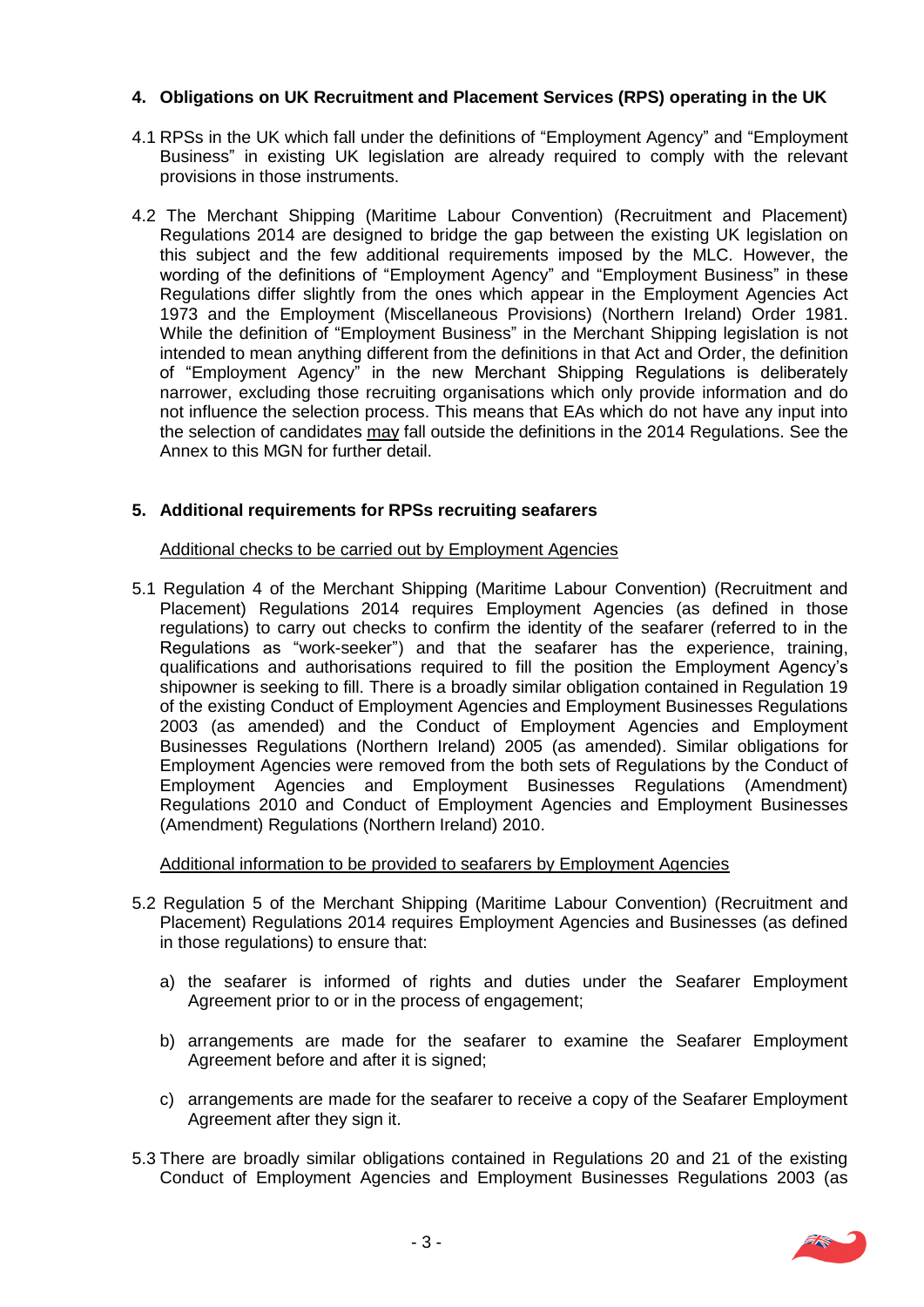# **4. Obligations on UK Recruitment and Placement Services (RPS) operating in the UK**

- 4.1 RPSs in the UK which fall under the definitions of "Employment Agency" and "Employment Business" in existing UK legislation are already required to comply with the relevant provisions in those instruments.
- 4.2 The Merchant Shipping (Maritime Labour Convention) (Recruitment and Placement) Regulations 2014 are designed to bridge the gap between the existing UK legislation on this subject and the few additional requirements imposed by the MLC. However, the wording of the definitions of "Employment Agency" and "Employment Business" in these Regulations differ slightly from the ones which appear in the Employment Agencies Act 1973 and the Employment (Miscellaneous Provisions) (Northern Ireland) Order 1981. While the definition of "Employment Business" in the Merchant Shipping legislation is not intended to mean anything different from the definitions in that Act and Order, the definition of "Employment Agency" in the new Merchant Shipping Regulations is deliberately narrower, excluding those recruiting organisations which only provide information and do not influence the selection process. This means that EAs which do not have any input into the selection of candidates may fall outside the definitions in the 2014 Regulations. See the Annex to this MGN for further detail.

# **5. Additional requirements for RPSs recruiting seafarers**

# Additional checks to be carried out by Employment Agencies

5.1 Regulation 4 of the Merchant Shipping (Maritime Labour Convention) (Recruitment and Placement) Regulations 2014 requires Employment Agencies (as defined in those regulations) to carry out checks to confirm the identity of the seafarer (referred to in the Regulations as "work-seeker") and that the seafarer has the experience, training, qualifications and authorisations required to fill the position the Employment Agency's shipowner is seeking to fill. There is a broadly similar obligation contained in Regulation 19 of the existing Conduct of Employment Agencies and Employment Businesses Regulations 2003 (as amended) and the Conduct of Employment Agencies and Employment Businesses Regulations (Northern Ireland) 2005 (as amended). Similar obligations for Employment Agencies were removed from the both sets of Regulations by the Conduct of Employment Agencies and Employment Businesses Regulations (Amendment) Regulations 2010 and Conduct of Employment Agencies and Employment Businesses (Amendment) Regulations (Northern Ireland) 2010.

#### Additional information to be provided to seafarers by Employment Agencies

- 5.2 Regulation 5 of the Merchant Shipping (Maritime Labour Convention) (Recruitment and Placement) Regulations 2014 requires Employment Agencies and Businesses (as defined in those regulations) to ensure that:
	- a) the seafarer is informed of rights and duties under the Seafarer Employment Agreement prior to or in the process of engagement;
	- b) arrangements are made for the seafarer to examine the Seafarer Employment Agreement before and after it is signed;
	- c) arrangements are made for the seafarer to receive a copy of the Seafarer Employment Agreement after they sign it.
- 5.3 There are broadly similar obligations contained in Regulations 20 and 21 of the existing Conduct of Employment Agencies and Employment Businesses Regulations 2003 (as

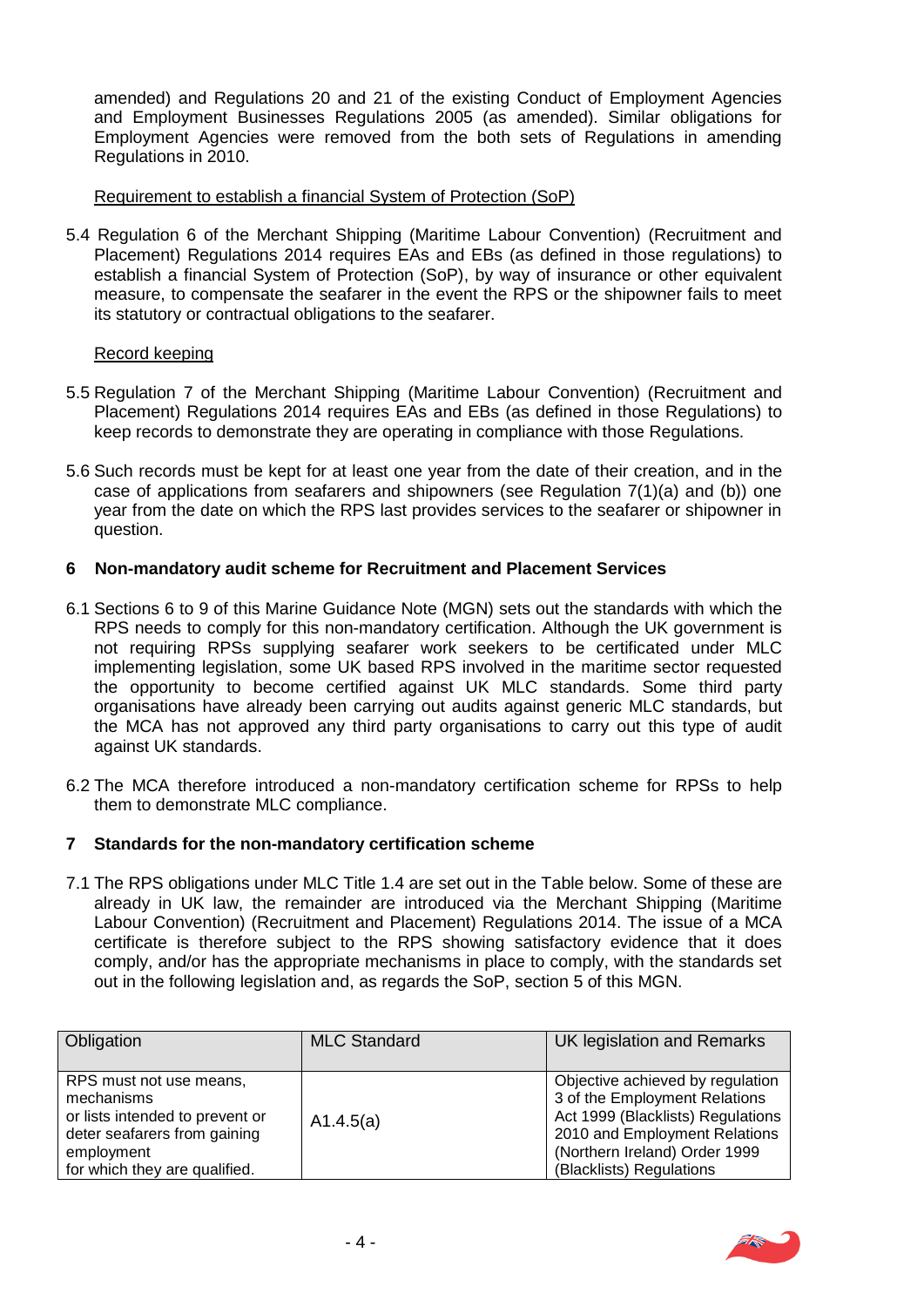amended) and Regulations 20 and 21 of the existing Conduct of Employment Agencies and Employment Businesses Regulations 2005 (as amended). Similar obligations for Employment Agencies were removed from the both sets of Regulations in amending Regulations in 2010.

#### Requirement to establish a financial System of Protection (SoP)

5.4 Regulation 6 of the Merchant Shipping (Maritime Labour Convention) (Recruitment and Placement) Regulations 2014 requires EAs and EBs (as defined in those regulations) to establish a financial System of Protection (SoP), by way of insurance or other equivalent measure, to compensate the seafarer in the event the RPS or the shipowner fails to meet its statutory or contractual obligations to the seafarer.

# Record keeping

- 5.5 Regulation 7 of the Merchant Shipping (Maritime Labour Convention) (Recruitment and Placement) Regulations 2014 requires EAs and EBs (as defined in those Regulations) to keep records to demonstrate they are operating in compliance with those Regulations.
- 5.6 Such records must be kept for at least one year from the date of their creation, and in the case of applications from seafarers and shipowners (see Regulation 7(1)(a) and (b)) one year from the date on which the RPS last provides services to the seafarer or shipowner in question.

# **6 Non-mandatory audit scheme for Recruitment and Placement Services**

- 6.1 Sections 6 to 9 of this Marine Guidance Note (MGN) sets out the standards with which the RPS needs to comply for this non-mandatory certification. Although the UK government is not requiring RPSs supplying seafarer work seekers to be certificated under MLC implementing legislation, some UK based RPS involved in the maritime sector requested the opportunity to become certified against UK MLC standards. Some third party organisations have already been carrying out audits against generic MLC standards, but the MCA has not approved any third party organisations to carry out this type of audit against UK standards.
- 6.2 The MCA therefore introduced a non-mandatory certification scheme for RPSs to help them to demonstrate MLC compliance.

# **7 Standards for the non-mandatory certification scheme**

7.1 The RPS obligations under MLC Title 1.4 are set out in the Table below. Some of these are already in UK law, the remainder are introduced via the Merchant Shipping (Maritime Labour Convention) (Recruitment and Placement) Regulations 2014. The issue of a MCA certificate is therefore subject to the RPS showing satisfactory evidence that it does comply, and/or has the appropriate mechanisms in place to comply, with the standards set out in the following legislation and, as regards the SoP, section 5 of this MGN.

| Obligation                                                                                                                                              | <b>MLC Standard</b> | UK legislation and Remarks                                                                                                                                                                           |
|---------------------------------------------------------------------------------------------------------------------------------------------------------|---------------------|------------------------------------------------------------------------------------------------------------------------------------------------------------------------------------------------------|
| RPS must not use means,<br>mechanisms<br>or lists intended to prevent or<br>deter seafarers from gaining<br>employment<br>for which they are qualified. | A1.4.5(a)           | Objective achieved by regulation<br>3 of the Employment Relations<br>Act 1999 (Blacklists) Regulations<br>2010 and Employment Relations<br>(Northern Ireland) Order 1999<br>(Blacklists) Regulations |

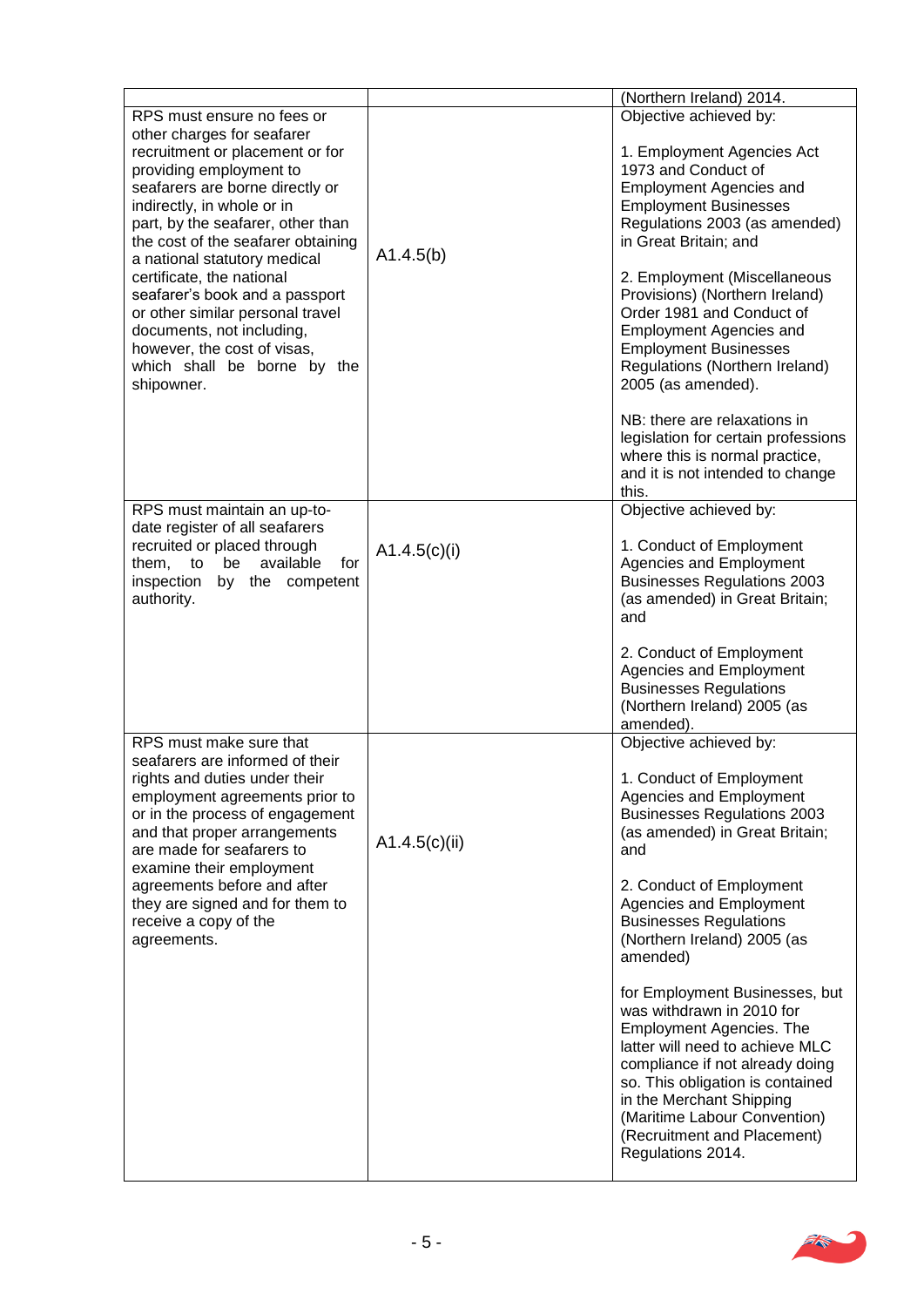|                                                                                                                                                                                                                                                                                                                                                                                                                                                                                  |               | (Northern Ireland) 2014.                                                                                                                                                                                                                                                                                                                                                                               |
|----------------------------------------------------------------------------------------------------------------------------------------------------------------------------------------------------------------------------------------------------------------------------------------------------------------------------------------------------------------------------------------------------------------------------------------------------------------------------------|---------------|--------------------------------------------------------------------------------------------------------------------------------------------------------------------------------------------------------------------------------------------------------------------------------------------------------------------------------------------------------------------------------------------------------|
| RPS must ensure no fees or                                                                                                                                                                                                                                                                                                                                                                                                                                                       |               | Objective achieved by:                                                                                                                                                                                                                                                                                                                                                                                 |
| other charges for seafarer<br>recruitment or placement or for<br>providing employment to<br>seafarers are borne directly or<br>indirectly, in whole or in<br>part, by the seafarer, other than<br>the cost of the seafarer obtaining<br>a national statutory medical<br>certificate, the national<br>seafarer's book and a passport<br>or other similar personal travel<br>documents, not including,<br>however, the cost of visas,<br>which shall be borne by the<br>shipowner. | A1.4.5(b)     | 1. Employment Agencies Act<br>1973 and Conduct of<br><b>Employment Agencies and</b><br><b>Employment Businesses</b><br>Regulations 2003 (as amended)<br>in Great Britain; and<br>2. Employment (Miscellaneous<br>Provisions) (Northern Ireland)<br>Order 1981 and Conduct of<br><b>Employment Agencies and</b><br><b>Employment Businesses</b><br>Regulations (Northern Ireland)<br>2005 (as amended). |
|                                                                                                                                                                                                                                                                                                                                                                                                                                                                                  |               | NB: there are relaxations in<br>legislation for certain professions<br>where this is normal practice,<br>and it is not intended to change<br>this.                                                                                                                                                                                                                                                     |
| RPS must maintain an up-to-<br>date register of all seafarers<br>recruited or placed through<br>them,<br>available<br>be<br>for<br>to<br>inspection<br>by the competent                                                                                                                                                                                                                                                                                                          | A1.4.5(c)(i)  | Objective achieved by:<br>1. Conduct of Employment<br>Agencies and Employment<br><b>Businesses Regulations 2003</b>                                                                                                                                                                                                                                                                                    |
| authority.                                                                                                                                                                                                                                                                                                                                                                                                                                                                       |               | (as amended) in Great Britain;<br>and                                                                                                                                                                                                                                                                                                                                                                  |
|                                                                                                                                                                                                                                                                                                                                                                                                                                                                                  |               | 2. Conduct of Employment<br>Agencies and Employment<br><b>Businesses Regulations</b><br>(Northern Ireland) 2005 (as<br>amended).                                                                                                                                                                                                                                                                       |
| RPS must make sure that                                                                                                                                                                                                                                                                                                                                                                                                                                                          |               | Objective achieved by:                                                                                                                                                                                                                                                                                                                                                                                 |
| seafarers are informed of their<br>rights and duties under their<br>employment agreements prior to<br>or in the process of engagement<br>and that proper arrangements<br>are made for seafarers to<br>examine their employment<br>agreements before and after<br>they are signed and for them to<br>receive a copy of the<br>agreements.                                                                                                                                         | A1.4.5(c)(ii) | 1. Conduct of Employment<br>Agencies and Employment<br><b>Businesses Regulations 2003</b><br>(as amended) in Great Britain;<br>and                                                                                                                                                                                                                                                                     |
|                                                                                                                                                                                                                                                                                                                                                                                                                                                                                  |               | 2. Conduct of Employment<br>Agencies and Employment<br><b>Businesses Regulations</b><br>(Northern Ireland) 2005 (as<br>amended)                                                                                                                                                                                                                                                                        |
|                                                                                                                                                                                                                                                                                                                                                                                                                                                                                  |               | for Employment Businesses, but<br>was withdrawn in 2010 for<br><b>Employment Agencies. The</b><br>latter will need to achieve MLC<br>compliance if not already doing<br>so. This obligation is contained<br>in the Merchant Shipping<br>(Maritime Labour Convention)<br>(Recruitment and Placement)<br>Regulations 2014.                                                                               |

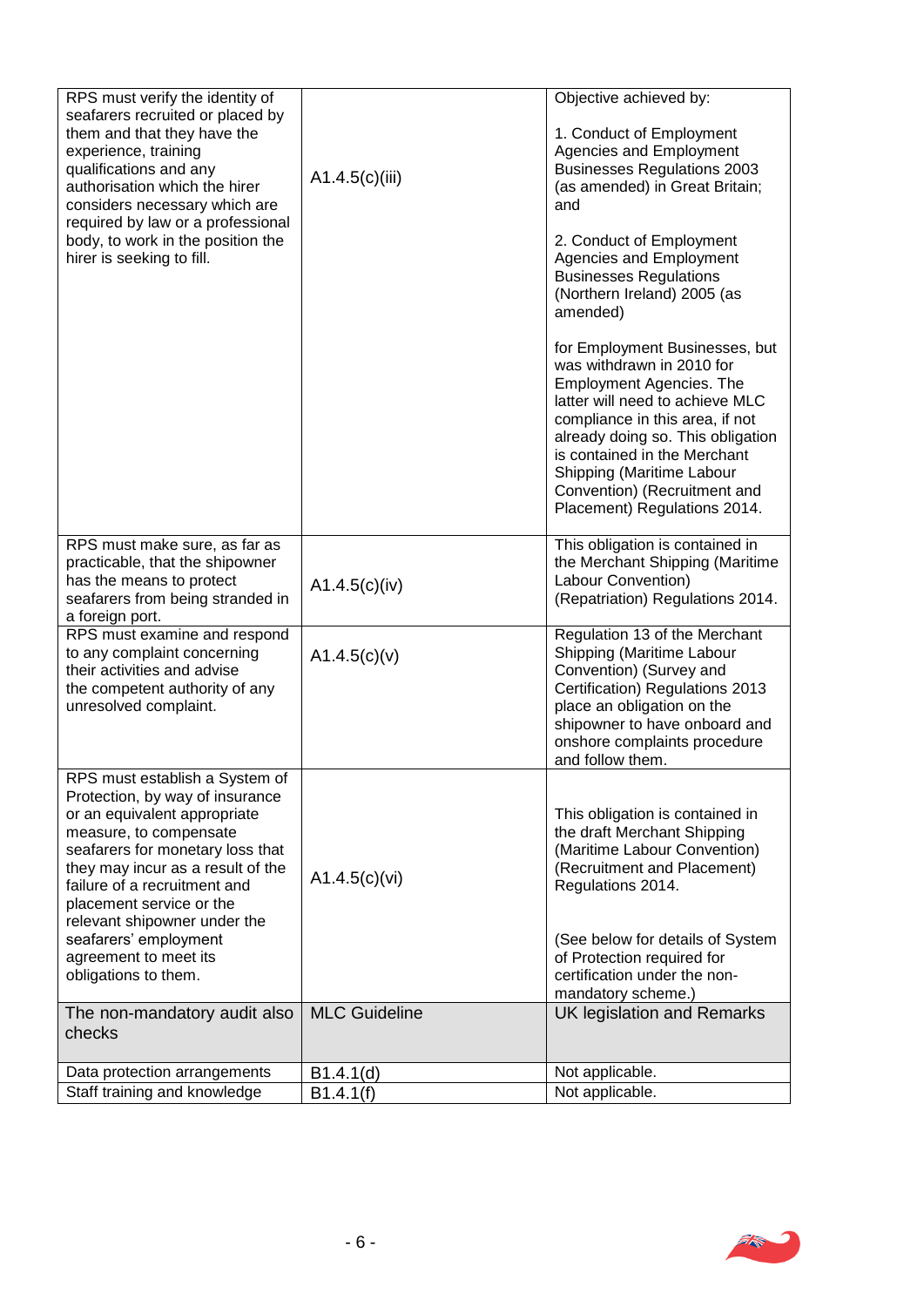| RPS must verify the identity of<br>seafarers recruited or placed by<br>them and that they have the<br>experience, training<br>qualifications and any<br>authorisation which the hirer<br>considers necessary which are<br>required by law or a professional<br>body, to work in the position the<br>hirer is seeking to fill.                                              | A1.4.5(c)(iii)       | Objective achieved by:<br>1. Conduct of Employment<br>Agencies and Employment<br><b>Businesses Regulations 2003</b><br>(as amended) in Great Britain;<br>and<br>2. Conduct of Employment<br>Agencies and Employment<br><b>Businesses Regulations</b><br>(Northern Ireland) 2005 (as<br>amended)                                        |
|----------------------------------------------------------------------------------------------------------------------------------------------------------------------------------------------------------------------------------------------------------------------------------------------------------------------------------------------------------------------------|----------------------|----------------------------------------------------------------------------------------------------------------------------------------------------------------------------------------------------------------------------------------------------------------------------------------------------------------------------------------|
|                                                                                                                                                                                                                                                                                                                                                                            |                      | for Employment Businesses, but<br>was withdrawn in 2010 for<br><b>Employment Agencies. The</b><br>latter will need to achieve MLC<br>compliance in this area, if not<br>already doing so. This obligation<br>is contained in the Merchant<br>Shipping (Maritime Labour<br>Convention) (Recruitment and<br>Placement) Regulations 2014. |
| RPS must make sure, as far as<br>practicable, that the shipowner<br>has the means to protect<br>seafarers from being stranded in<br>a foreign port.                                                                                                                                                                                                                        | A1.4.5(c)(iv)        | This obligation is contained in<br>the Merchant Shipping (Maritime<br>Labour Convention)<br>(Repatriation) Regulations 2014.                                                                                                                                                                                                           |
| RPS must examine and respond<br>to any complaint concerning<br>their activities and advise<br>the competent authority of any<br>unresolved complaint.                                                                                                                                                                                                                      | A1.4.5(c)(v)         | Regulation 13 of the Merchant<br>Shipping (Maritime Labour<br>Convention) (Survey and<br>Certification) Regulations 2013<br>place an obligation on the<br>shipowner to have onboard and<br>onshore complaints procedure<br>and follow them.                                                                                            |
| RPS must establish a System of<br>Protection, by way of insurance<br>or an equivalent appropriate<br>measure, to compensate<br>seafarers for monetary loss that<br>they may incur as a result of the<br>failure of a recruitment and<br>placement service or the<br>relevant shipowner under the<br>seafarers' employment<br>agreement to meet its<br>obligations to them. | A1.4.5(c)(vi)        | This obligation is contained in<br>the draft Merchant Shipping<br>(Maritime Labour Convention)<br>(Recruitment and Placement)<br>Regulations 2014.<br>(See below for details of System<br>of Protection required for<br>certification under the non-<br>mandatory scheme.)                                                             |
| The non-mandatory audit also<br>checks                                                                                                                                                                                                                                                                                                                                     | <b>MLC Guideline</b> | UK legislation and Remarks                                                                                                                                                                                                                                                                                                             |
| Data protection arrangements                                                                                                                                                                                                                                                                                                                                               | B1.4.1(d)            | Not applicable.                                                                                                                                                                                                                                                                                                                        |
| Staff training and knowledge                                                                                                                                                                                                                                                                                                                                               | B1.4.1(f)            | Not applicable.                                                                                                                                                                                                                                                                                                                        |

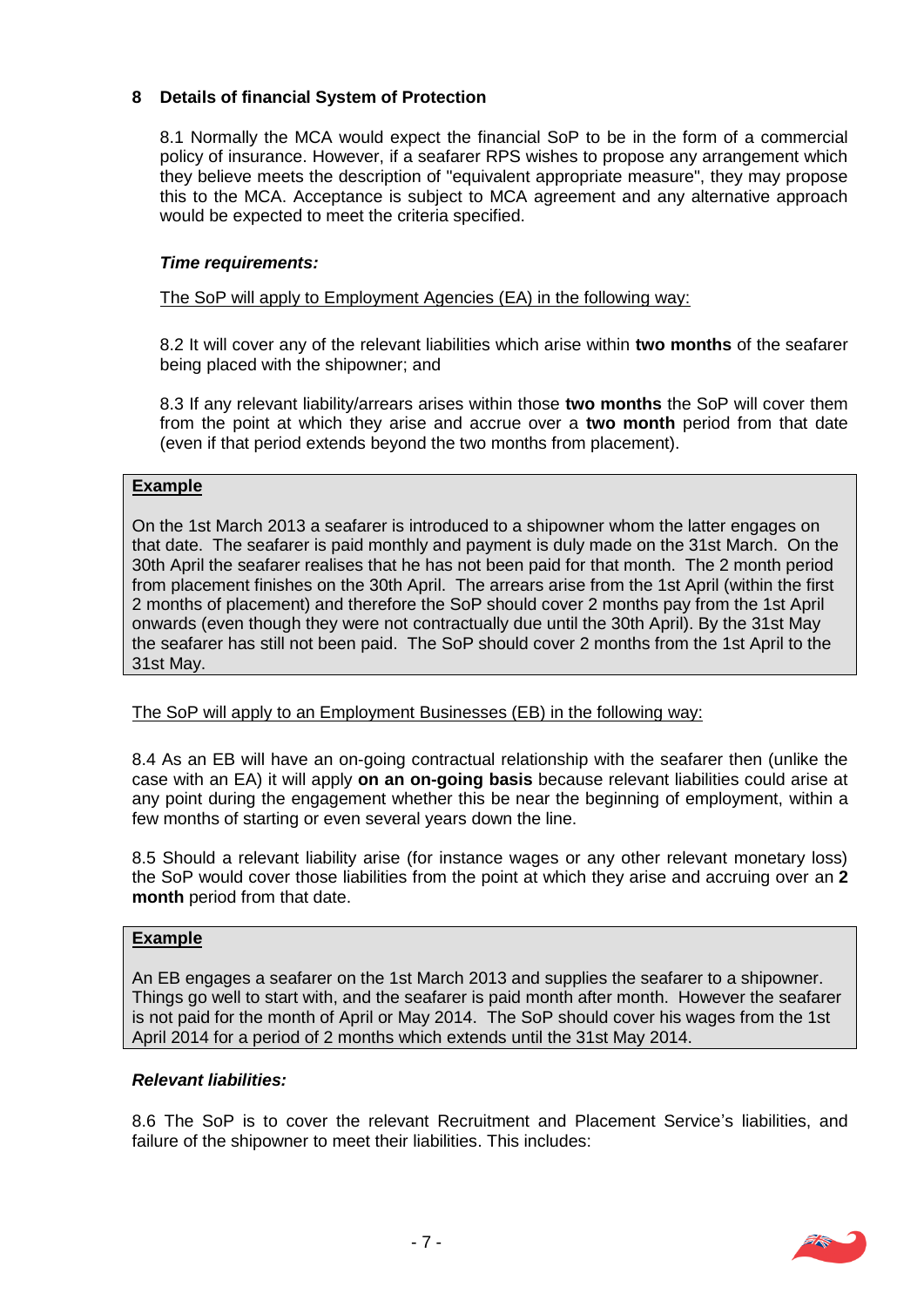# **8 Details of financial System of Protection**

8.1 Normally the MCA would expect the financial SoP to be in the form of a commercial policy of insurance. However, if a seafarer RPS wishes to propose any arrangement which they believe meets the description of "equivalent appropriate measure", they may propose this to the MCA. Acceptance is subject to MCA agreement and any alternative approach would be expected to meet the criteria specified.

# *Time requirements:*

The SoP will apply to Employment Agencies (EA) in the following way:

8.2 It will cover any of the relevant liabilities which arise within **two months** of the seafarer being placed with the shipowner; and

8.3 If any relevant liability/arrears arises within those **two months** the SoP will cover them from the point at which they arise and accrue over a **two month** period from that date (even if that period extends beyond the two months from placement).

#### **Example**

On the 1st March 2013 a seafarer is introduced to a shipowner whom the latter engages on that date. The seafarer is paid monthly and payment is duly made on the 31st March. On the 30th April the seafarer realises that he has not been paid for that month. The 2 month period from placement finishes on the 30th April. The arrears arise from the 1st April (within the first 2 months of placement) and therefore the SoP should cover 2 months pay from the 1st April onwards (even though they were not contractually due until the 30th April). By the 31st May the seafarer has still not been paid. The SoP should cover 2 months from the 1st April to the 31st May.

#### The SoP will apply to an Employment Businesses (EB) in the following way:

8.4 As an EB will have an on-going contractual relationship with the seafarer then (unlike the case with an EA) it will apply **on an on-going basis** because relevant liabilities could arise at any point during the engagement whether this be near the beginning of employment, within a few months of starting or even several years down the line.

8.5 Should a relevant liability arise (for instance wages or any other relevant monetary loss) the SoP would cover those liabilities from the point at which they arise and accruing over an **2 month** period from that date.

# **Example**

An EB engages a seafarer on the 1st March 2013 and supplies the seafarer to a shipowner. Things go well to start with, and the seafarer is paid month after month. However the seafarer is not paid for the month of April or May 2014. The SoP should cover his wages from the 1st April 2014 for a period of 2 months which extends until the 31st May 2014.

#### *Relevant liabilities:*

8.6 The SoP is to cover the relevant Recruitment and Placement Service's liabilities, and failure of the shipowner to meet their liabilities. This includes:

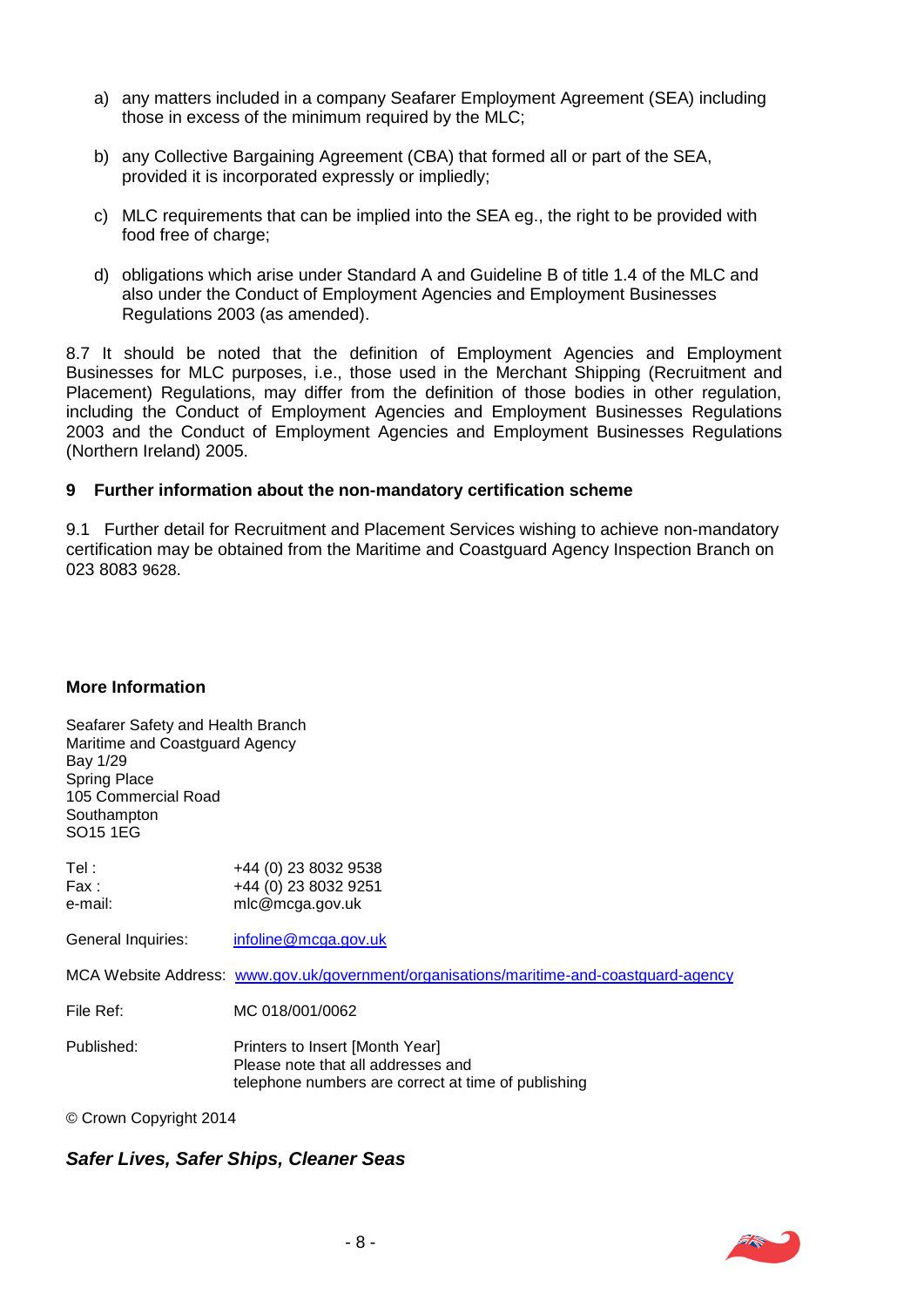- a) any matters included in a company Seafarer Employment Agreement (SEA) including those in excess of the minimum required by the MLC;
- b) any Collective Bargaining Agreement (CBA) that formed all or part of the SEA, provided it is incorporated expressly or impliedly;
- c) MLC requirements that can be implied into the SEA eg., the right to be provided with food free of charge:
- d) obligations which arise under Standard A and Guideline B of title 1.4 of the MLC and also under the Conduct of Employment Agencies and Employment Businesses Regulations 2003 (as amended).

8.7 It should be noted that the definition of Employment Agencies and Employment Businesses for MLC purposes, i.e., those used in the Merchant Shipping (Recruitment and Placement) Regulations, may differ from the definition of those bodies in other regulation, including the Conduct of Employment Agencies and Employment Businesses Regulations 2003 and the Conduct of Employment Agencies and Employment Businesses Regulations (Northern Ireland) 2005.

#### **9 Further information about the non-mandatory certification scheme**

9.1 Further detail for Recruitment and Placement Services wishing to achieve non-mandatory certification may be obtained from the Maritime and Coastguard Agency Inspection Branch on 023 8083 9628.

#### **More Information**

| Seafarer Safety and Health Branch<br>Maritime and Coastguard Agency<br>Bay 1/29<br>Spring Place<br>105 Commercial Road<br>Southampton<br>SO15 1EG |                                                                                                                              |
|---------------------------------------------------------------------------------------------------------------------------------------------------|------------------------------------------------------------------------------------------------------------------------------|
| Tel :<br>Fax :<br>e-mail:                                                                                                                         | +44 (0) 23 8032 9538<br>+44 (0) 23 8032 9251<br>mlc@mcga.gov.uk                                                              |
| General Inquiries:                                                                                                                                | infoline@mcga.gov.uk                                                                                                         |
|                                                                                                                                                   | MCA Website Address: www.gov.uk/government/organisations/maritime-and-coastguard-agency                                      |
| File Ref:                                                                                                                                         | MC 018/001/0062                                                                                                              |
| Published:                                                                                                                                        | Printers to Insert [Month Year]<br>Please note that all addresses and<br>telephone numbers are correct at time of publishing |

© Crown Copyright 2014

# *Safer Lives, Safer Ships, Cleaner Seas.*

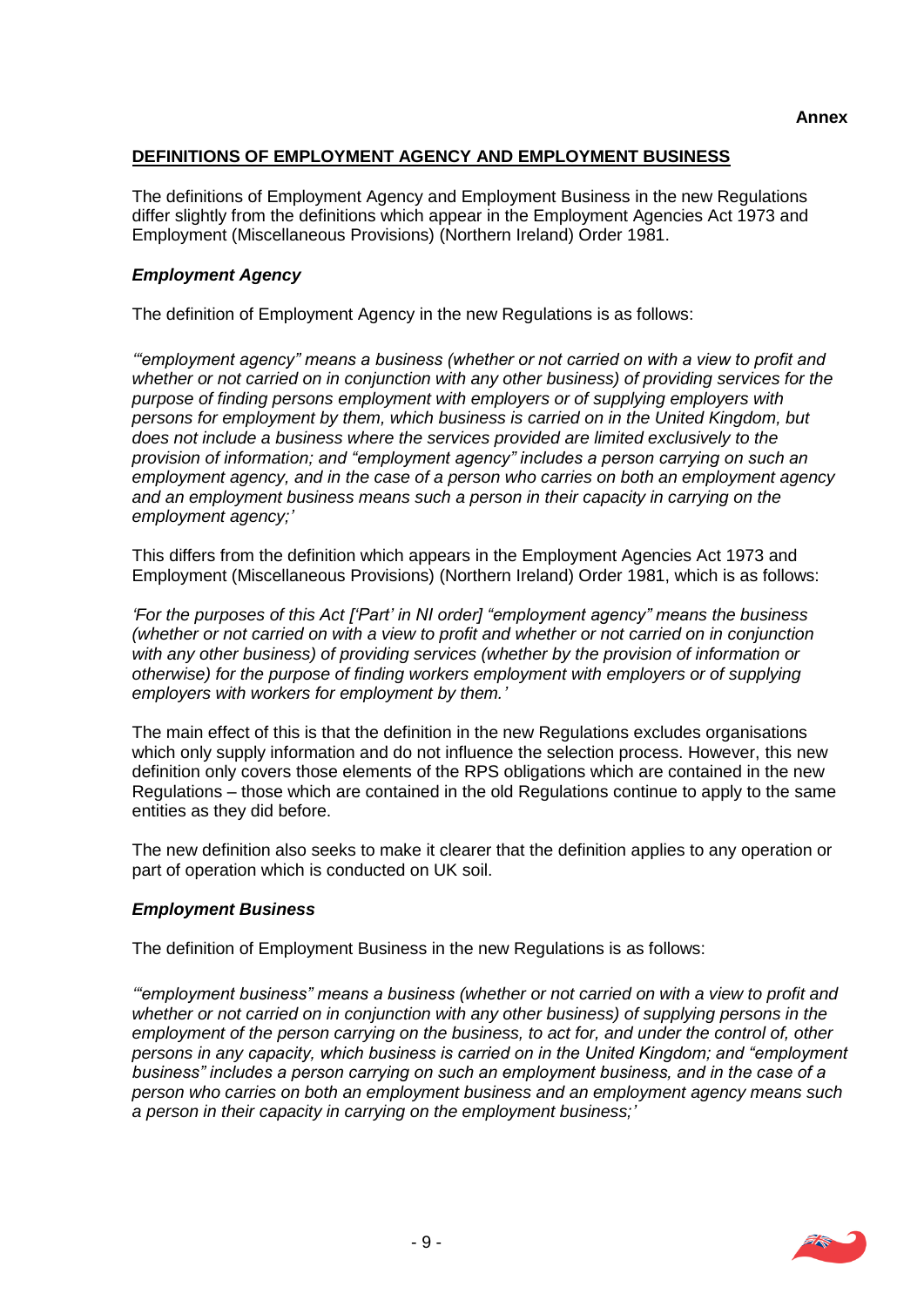# **DEFINITIONS OF EMPLOYMENT AGENCY AND EMPLOYMENT BUSINESS**

The definitions of Employment Agency and Employment Business in the new Regulations differ slightly from the definitions which appear in the Employment Agencies Act 1973 and Employment (Miscellaneous Provisions) (Northern Ireland) Order 1981.

# *Employment Agency*

The definition of Employment Agency in the new Regulations is as follows:

*'"employment agency" means a business (whether or not carried on with a view to profit and whether or not carried on in conjunction with any other business) of providing services for the purpose of finding persons employment with employers or of supplying employers with persons for employment by them, which business is carried on in the United Kingdom, but does not include a business where the services provided are limited exclusively to the provision of information; and "employment agency" includes a person carrying on such an employment agency, and in the case of a person who carries on both an employment agency and an employment business means such a person in their capacity in carrying on the employment agency;'*

This differs from the definition which appears in the Employment Agencies Act 1973 and Employment (Miscellaneous Provisions) (Northern Ireland) Order 1981, which is as follows:

*'For the purposes of this Act ['Part' in NI order] "employment agency" means the business (whether or not carried on with a view to profit and whether or not carried on in conjunction with any other business) of providing services (whether by the provision of information or otherwise) for the purpose of finding workers employment with employers or of supplying employers with workers for employment by them.'*

The main effect of this is that the definition in the new Regulations excludes organisations which only supply information and do not influence the selection process. However, this new definition only covers those elements of the RPS obligations which are contained in the new Regulations – those which are contained in the old Regulations continue to apply to the same entities as they did before.

The new definition also seeks to make it clearer that the definition applies to any operation or part of operation which is conducted on UK soil.

# *Employment Business*

The definition of Employment Business in the new Regulations is as follows:

*'"employment business" means a business (whether or not carried on with a view to profit and whether or not carried on in conjunction with any other business) of supplying persons in the employment of the person carrying on the business, to act for, and under the control of, other persons in any capacity, which business is carried on in the United Kingdom; and "employment business" includes a person carrying on such an employment business, and in the case of a person who carries on both an employment business and an employment agency means such a person in their capacity in carrying on the employment business;'*